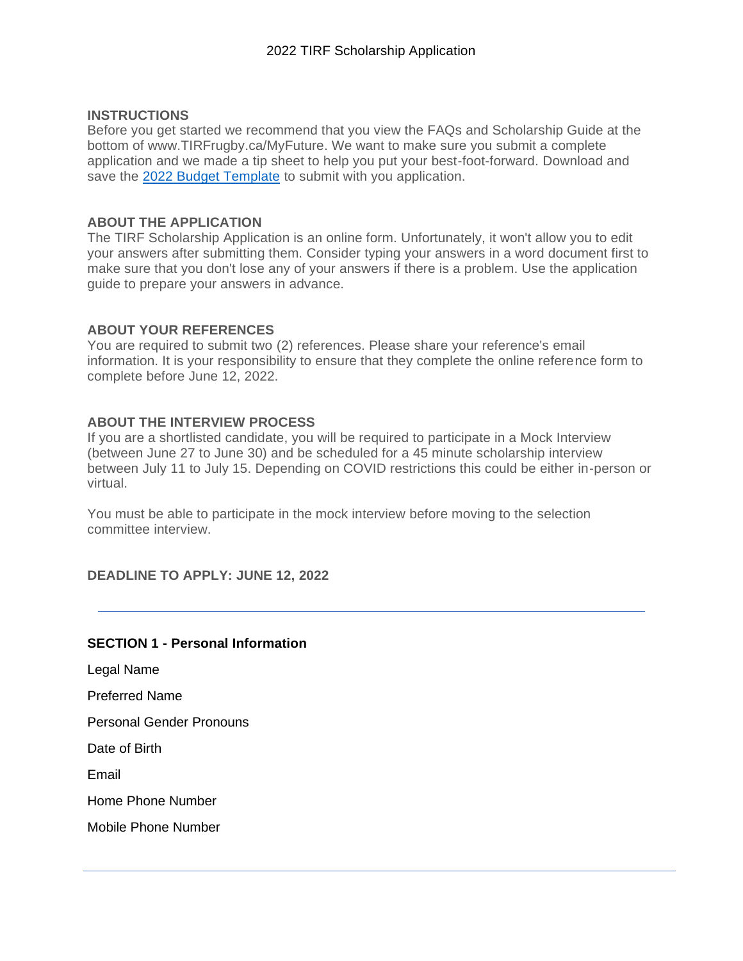## **INSTRUCTIONS**

Before you get started we recommend that you view the FAQs and Scholarship Guide at the bottom of www.TIRFrugby.ca/MyFuture. We want to make sure you submit a complete application and we made a tip sheet to help you put your best-foot-forward. Download and save the [2022 Budget Template](https://tirfrugby.ca/wp-content/uploads/2022/03/Budget-Template-TIRF-Scholarship-2022-V2.xlsx) to submit with you application.

### **ABOUT THE APPLICATION**

The TIRF Scholarship Application is an online form. Unfortunately, it won't allow you to edit your answers after submitting them. Consider typing your answers in a word document first to make sure that you don't lose any of your answers if there is a problem. Use the application guide to prepare your answers in advance.

### **ABOUT YOUR REFERENCES**

You are required to submit two (2) references. Please share your reference's email information. It is your responsibility to ensure that they complete the online reference form to complete before June 12, 2022.

### **ABOUT THE INTERVIEW PROCESS**

If you are a shortlisted candidate, you will be required to participate in a Mock Interview (between June 27 to June 30) and be scheduled for a 45 minute scholarship interview between July 11 to July 15. Depending on COVID restrictions this could be either in-person or virtual.

You must be able to participate in the mock interview before moving to the selection committee interview.

**DEADLINE TO APPLY: JUNE 12, 2022**

## **SECTION 1 - Personal Information**

Legal Name

Preferred Name

Personal Gender Pronouns

Date of Birth

Email

Home Phone Number

Mobile Phone Number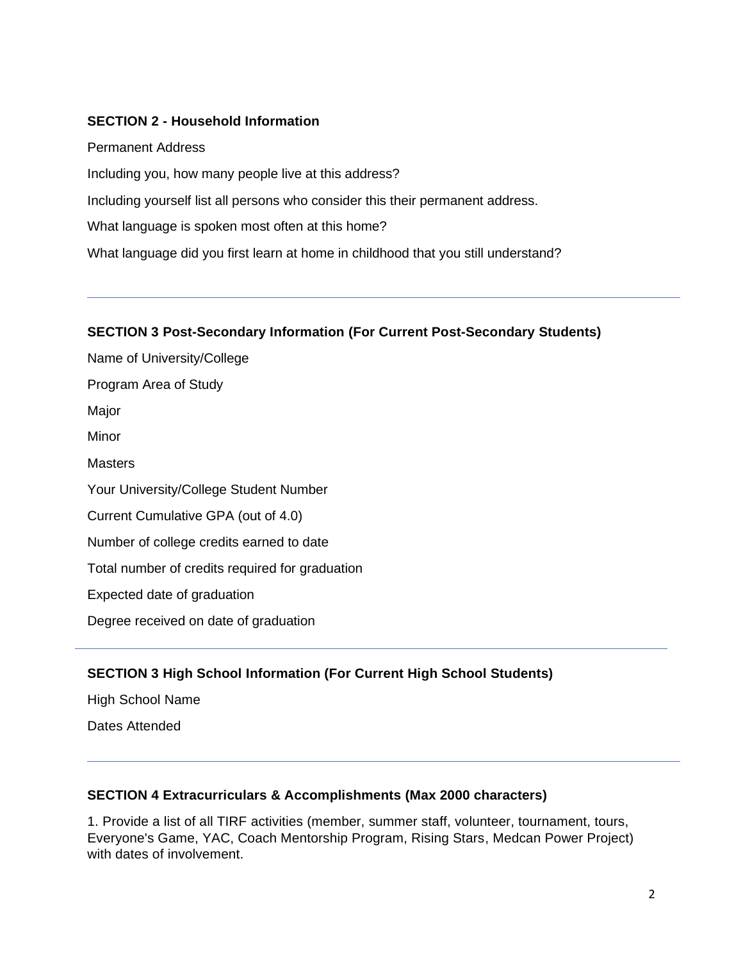## **SECTION 2 - Household Information**

Permanent Address Including you, how many people live at this address? Including yourself list all persons who consider this their permanent address. What language is spoken most often at this home? What language did you first learn at home in childhood that you still understand?

### **SECTION 3 Post-Secondary Information (For Current Post-Secondary Students)**

Name of University/College Program Area of Study Major Minor **Masters** Your University/College Student Number Current Cumulative GPA (out of 4.0) Number of college credits earned to date Total number of credits required for graduation Expected date of graduation Degree received on date of graduation

# **SECTION 3 High School Information (For Current High School Students)**

High School Name

Dates Attended

## **SECTION 4 Extracurriculars & Accomplishments (Max 2000 characters)**

1. Provide a list of all TIRF activities (member, summer staff, volunteer, tournament, tours, Everyone's Game, YAC, Coach Mentorship Program, Rising Stars, Medcan Power Project) with dates of involvement.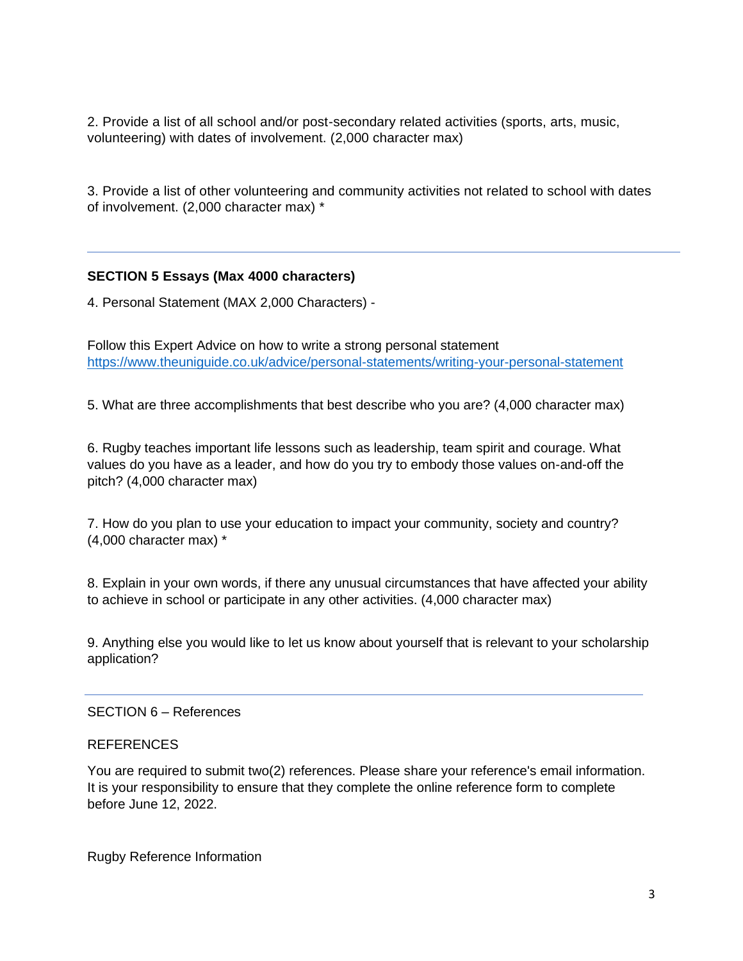2. Provide a list of all school and/or post-secondary related activities (sports, arts, music, volunteering) with dates of involvement. (2,000 character max)

3. Provide a list of other volunteering and community activities not related to school with dates of involvement. (2,000 character max) \*

# **SECTION 5 Essays (Max 4000 characters)**

4. Personal Statement (MAX 2,000 Characters) -

Follow this Expert Advice on how to write a strong personal statement <https://www.theuniguide.co.uk/advice/personal-statements/writing-your-personal-statement>

5. What are three accomplishments that best describe who you are? (4,000 character max)

6. Rugby teaches important life lessons such as leadership, team spirit and courage. What values do you have as a leader, and how do you try to embody those values on-and-off the pitch? (4,000 character max)

7. How do you plan to use your education to impact your community, society and country? (4,000 character max) \*

8. Explain in your own words, if there any unusual circumstances that have affected your ability to achieve in school or participate in any other activities. (4,000 character max)

9. Anything else you would like to let us know about yourself that is relevant to your scholarship application?

### SECTION 6 – References

### REFERENCES

You are required to submit two(2) references. Please share your reference's email information. It is your responsibility to ensure that they complete the online reference form to complete before June 12, 2022.

Rugby Reference Information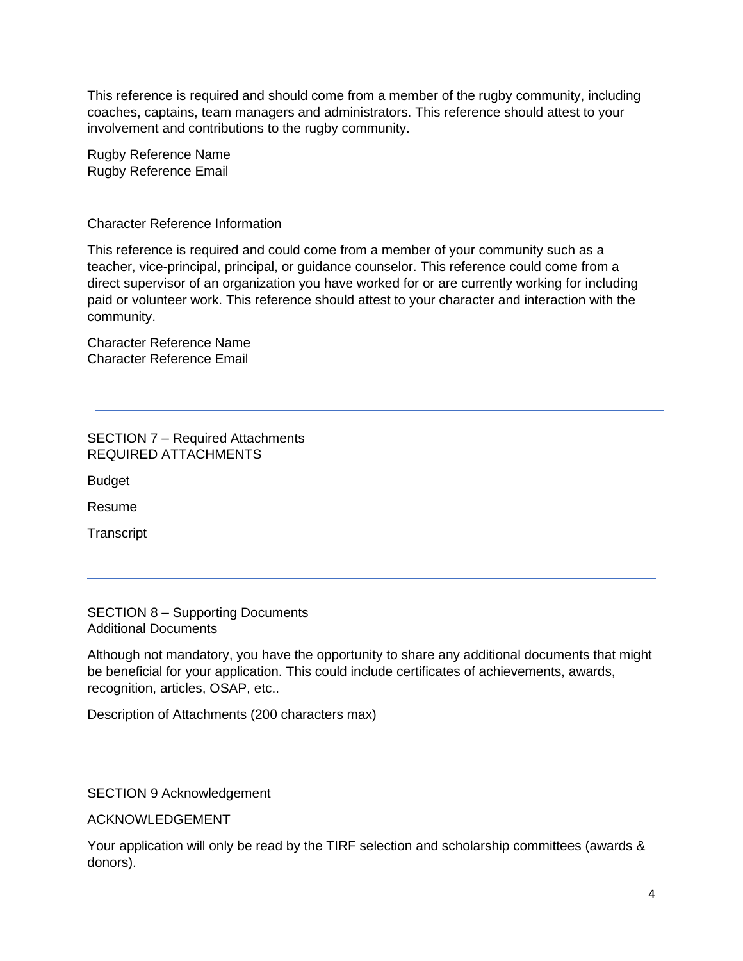This reference is required and should come from a member of the rugby community, including coaches, captains, team managers and administrators. This reference should attest to your involvement and contributions to the rugby community.

Rugby Reference Name Rugby Reference Email

Character Reference Information

This reference is required and could come from a member of your community such as a teacher, vice-principal, principal, or guidance counselor. This reference could come from a direct supervisor of an organization you have worked for or are currently working for including paid or volunteer work. This reference should attest to your character and interaction with the community.

Character Reference Name Character Reference Email

SECTION 7 – Required Attachments REQUIRED ATTACHMENTS

Budget

Resume

**Transcript** 

SECTION 8 – Supporting Documents Additional Documents

Although not mandatory, you have the opportunity to share any additional documents that might be beneficial for your application. This could include certificates of achievements, awards, recognition, articles, OSAP, etc..

Description of Attachments (200 characters max)

## SECTION 9 Acknowledgement

## ACKNOWLEDGEMENT

Your application will only be read by the TIRF selection and scholarship committees (awards & donors).